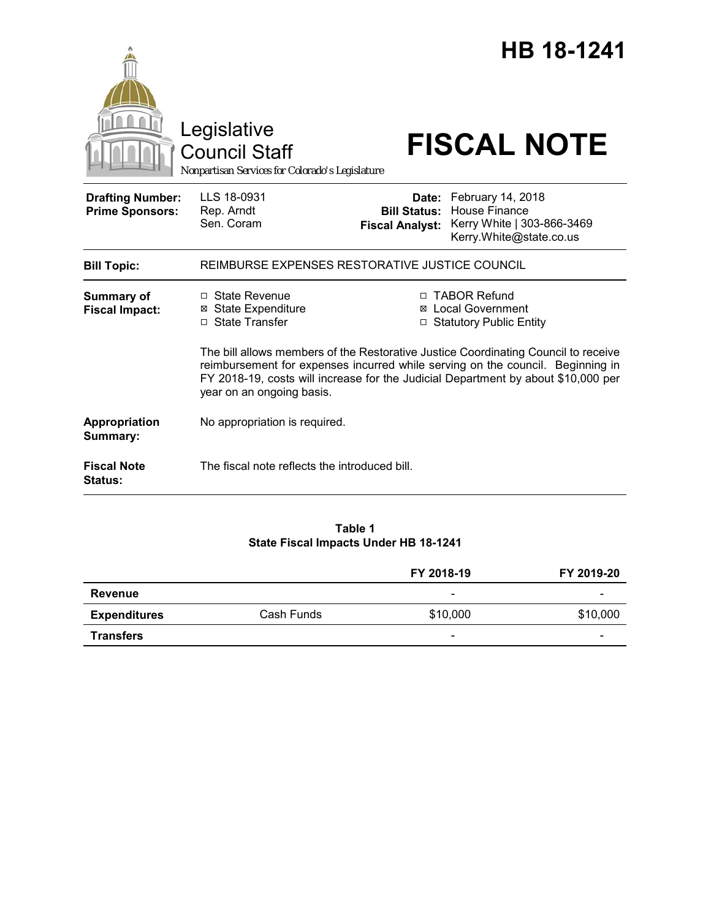|                                                   | Legislative<br><b>Council Staff</b><br>Nonpartisan Services for Colorado's Legislature                                                                                                                                                                                                 |                                 | <b>HB 18-1241</b><br><b>FISCAL NOTE</b>                                                                         |  |
|---------------------------------------------------|----------------------------------------------------------------------------------------------------------------------------------------------------------------------------------------------------------------------------------------------------------------------------------------|---------------------------------|-----------------------------------------------------------------------------------------------------------------|--|
| <b>Drafting Number:</b><br><b>Prime Sponsors:</b> | LLS 18-0931<br>Rep. Arndt<br>Sen. Coram                                                                                                                                                                                                                                                | Date:<br><b>Fiscal Analyst:</b> | February 14, 2018<br><b>Bill Status: House Finance</b><br>Kerry White   303-866-3469<br>Kerry.White@state.co.us |  |
| <b>Bill Topic:</b>                                | REIMBURSE EXPENSES RESTORATIVE JUSTICE COUNCIL                                                                                                                                                                                                                                         |                                 |                                                                                                                 |  |
| <b>Summary of</b><br><b>Fiscal Impact:</b>        | $\Box$ State Revenue<br><b>⊠</b> State Expenditure<br>□ State Transfer                                                                                                                                                                                                                 |                                 | □ TABOR Refund<br>⊠ Local Government<br>□ Statutory Public Entity                                               |  |
|                                                   | The bill allows members of the Restorative Justice Coordinating Council to receive<br>reimbursement for expenses incurred while serving on the council. Beginning in<br>FY 2018-19, costs will increase for the Judicial Department by about \$10,000 per<br>year on an ongoing basis. |                                 |                                                                                                                 |  |
| Appropriation<br>Summary:                         | No appropriation is required.                                                                                                                                                                                                                                                          |                                 |                                                                                                                 |  |
| <b>Fiscal Note</b><br><b>Status:</b>              | The fiscal note reflects the introduced bill.                                                                                                                                                                                                                                          |                                 |                                                                                                                 |  |

# **Table 1 State Fiscal Impacts Under HB 18-1241**

|                     |            | FY 2018-19               | FY 2019-20 |
|---------------------|------------|--------------------------|------------|
| Revenue             |            | $\overline{\phantom{0}}$ |            |
| <b>Expenditures</b> | Cash Funds | \$10,000                 | \$10,000   |
| <b>Transfers</b>    |            | $\overline{\phantom{0}}$ |            |